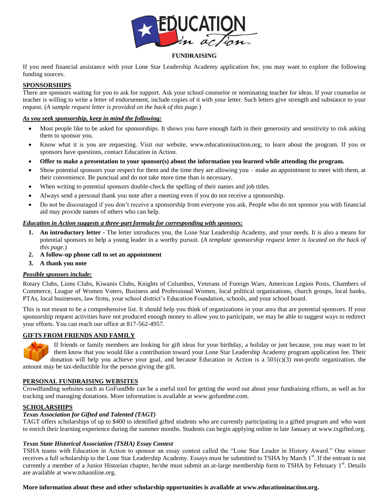

## **FUNDRAISING**

If you need financial assistance with your Lone Star Leadership Academy application fee, you may want to explore the following funding sources.

## **SPONSORSHIPS**

There are sponsors waiting for you to ask for support. Ask your school counselor or nominating teacher for ideas. If your counselor or teacher is willing to write a letter of endorsement, include copies of it with your letter. Such letters give strength and substance to your request. (*A sample request letter is provided on the back of this page.*)

#### *As you seek sponsorship, keep in mind the following:*

- Most people like to be asked for sponsorships. It shows you have enough faith in their generosity and sensitivity to risk asking them to sponsor you.
- Know what it is you are requesting. Visit our website, www.educationinaction.org, to learn about the program. If you or sponsors have questions, contact Education in Action.
- **Offer to make a presentation to your sponsor(s) about the information you learned while attending the program.**
- Show potential sponsors your respect for them and the time they are allowing you make an appointment to meet with them, at their convenience. Be punctual and do not take more time than is necessary.
- When writing to potential sponsors double-check the spelling of their names and job titles.
- Always send a personal thank you note after a meeting even if you do not receive a sponsorship.
- Do not be discouraged if you don't receive a sponsorship from everyone you ask. People who do not sponsor you with financial aid may provide names of others who can help.

#### *Education in Action suggests a three-part formula for corresponding with sponsors:*

- **1. An introductory letter -** The letter introduces you, the Lone Star Leadership Academy, and your needs. It is also a means for potential sponsors to help a young leader in a worthy pursuit. (*A template sponsorship request letter is located on the back of this page.*)
- **2. A follow-up phone call to set an appointment**
- **3. A thank you note**

# *Possible sponsors include:*

Rotary Clubs, Lions Clubs, Kiwanis Clubs, Knights of Columbus, Veterans of Foreign Wars, American Legion Posts, Chambers of Commerce, League of Women Voters, Business and Professional Women, local political organizations, church groups, local banks, PTAs, local businesses, law firms, your school district's Education Foundation, schools, and your school board.

This is not meant to be a comprehensive list. It should help you think of organizations in your area that are potential sponsors. If your sponsorship request activities have not produced enough money to allow you to participate, we may be able to suggest ways to redirect your efforts. You can reach our office at 817-562-4957.

# **GIFTS FROM FRIENDS AND FAMILY**



If friends or family members are looking for gift ideas for your birthday, a holiday or just because, you may want to let them know that you would like a contribution toward your Lone Star Leadership Academy program application fee. Their donation will help you achieve your goal, and because Education in Action is a  $501(c)(3)$  non-profit organization, the amount may be tax-deductible for the person giving the gift.

#### **PERSONAL FUNDRAISING WEBSITES**

Crowdfunding websites such as GoFundMe can be a useful tool for getting the word out about your fundraising efforts, as well as for tracking and managing donations. More information is available at www.gofundme.com.

#### **SCHOLARSHIPS**

#### *Texas Association for Gifted and Talented (TAGT)*

TAGT offers scholarships of up to \$400 to identified gifted students who are currently participating in a gifted program and who want to enrich their learning experience during the summer months. Students can begin applying online in late January at www.txgifted.org.

#### *Texas State Historical Association (TSHA) Essay Contest*

TSHA teams with Education in Action to sponsor an essay contest called the "Lone Star Leader in History Award." One winner receives a full scholarship to the Lone Star Leadership Academy. Essays must be submitted to TSHA by March 1st. If the entrant is not currently a member of a Junior Historian chapter, he/she must submit an at-large membership form to TSHA by February 1st. Details are available at www.tshaonline.org.

#### **More information about these and other scholarship opportunities is available at www.educationinaction.org.**